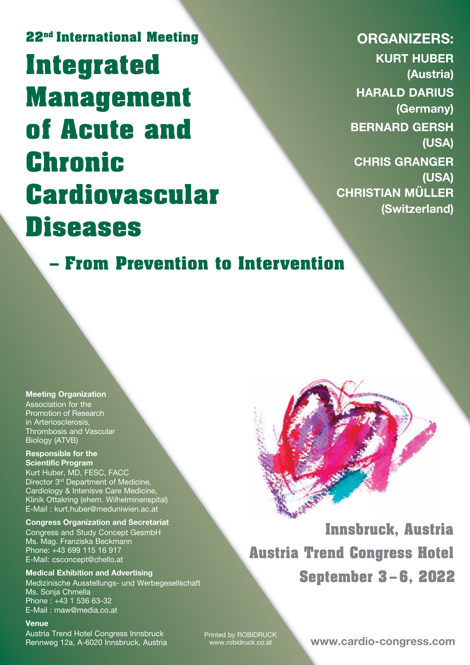# **22nd International Meeting Integrated Management of Acute and Chronic Cardiovascular Diseases**

**ORGANIZERS: KURT HUBER (Austria) HARALD DARIUS (Germany) BERNARD GERSH (USA) CHRIS GRANGER (USA) CHRISTIAN MÜLLER (Switzerland)**

**– From Prevention to Intervention**

#### **Meeting Organization** Association for the

Promotion of Research in Arteriosclerosis, Thrombosis and Vascular Biology (ATVB)

#### **Responsible for the Scientific Program**

Kurt Huber, MD, FESC, FACC Director 3<sup>rd</sup> Department of Medicine, Cardiology & Intenisve Care Medicine, Klinik Ottakring (ehem. Wilhelminenspital) E-Mail : kurt.huber@meduniwien.ac.at

#### **Congress Organization and Secretariat**

Congress and Study Concept GesmbH Ms. Mag. Franziska Beckmann Phone: +43 699 115 16 917 E-Mail: csconcept@chello.at

**Medical Exhibition and Advertising** Medizinische Ausstellungs- und Werbegesellschaft Ms. Sonia Chmella Phone : +43 1 536 63-32 E-Mail : maw@media.co.at

#### **Venue**

Austria Trend Hotel Congress Innsbruck Rennweg 12a, A-6020 Innsbruck, Austria

**Innsbruck, Austria Austria Trend Congress Hotel September 3 – 6, 2022**

Printed by ROBIDRUCK www.robidruck.co.at

**www.cardio-congress.com**